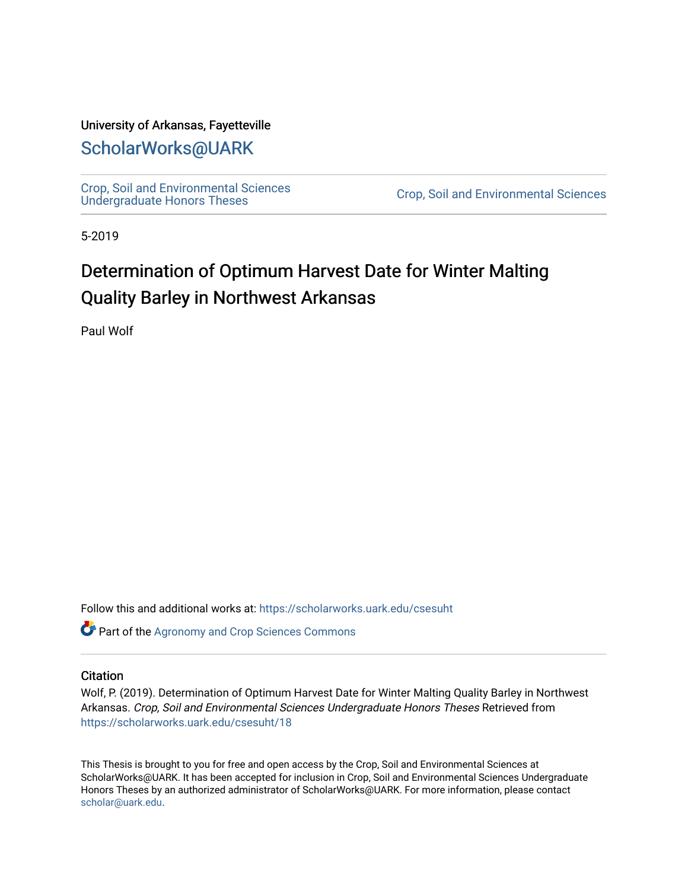#### University of Arkansas, Fayetteville

### [ScholarWorks@UARK](https://scholarworks.uark.edu/)

[Crop, Soil and Environmental Sciences](https://scholarworks.uark.edu/csesuht) 

Crop, Soil and Environmental Sciences

5-2019

# Determination of Optimum Harvest Date for Winter Malting Quality Barley in Northwest Arkansas

Paul Wolf

Follow this and additional works at: [https://scholarworks.uark.edu/csesuht](https://scholarworks.uark.edu/csesuht?utm_source=scholarworks.uark.edu%2Fcsesuht%2F18&utm_medium=PDF&utm_campaign=PDFCoverPages)

Part of the [Agronomy and Crop Sciences Commons](http://network.bepress.com/hgg/discipline/103?utm_source=scholarworks.uark.edu%2Fcsesuht%2F18&utm_medium=PDF&utm_campaign=PDFCoverPages) 

#### **Citation**

Wolf, P. (2019). Determination of Optimum Harvest Date for Winter Malting Quality Barley in Northwest Arkansas. Crop, Soil and Environmental Sciences Undergraduate Honors Theses Retrieved from [https://scholarworks.uark.edu/csesuht/18](https://scholarworks.uark.edu/csesuht/18?utm_source=scholarworks.uark.edu%2Fcsesuht%2F18&utm_medium=PDF&utm_campaign=PDFCoverPages) 

This Thesis is brought to you for free and open access by the Crop, Soil and Environmental Sciences at ScholarWorks@UARK. It has been accepted for inclusion in Crop, Soil and Environmental Sciences Undergraduate Honors Theses by an authorized administrator of ScholarWorks@UARK. For more information, please contact [scholar@uark.edu](mailto:scholar@uark.edu).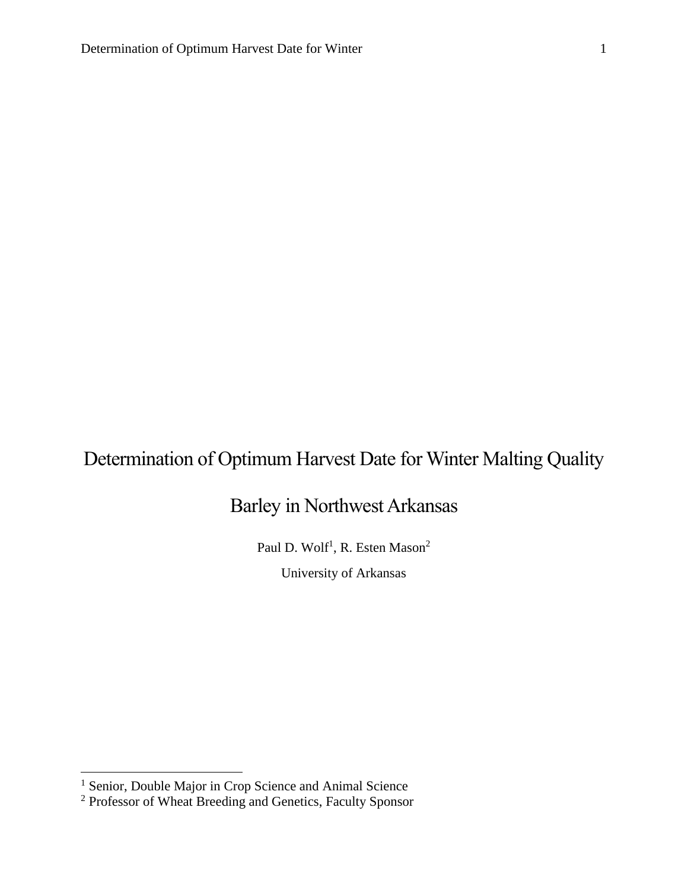# Determination of Optimum Harvest Date for Winter Malting Quality

## Barley in Northwest Arkansas

Paul D. Wolf<sup>1</sup>, R. Esten Mason<sup>2</sup>

University of Arkansas

 $\overline{a}$ 

<sup>&</sup>lt;sup>1</sup> Senior, Double Major in Crop Science and Animal Science

<sup>&</sup>lt;sup>2</sup> Professor of Wheat Breeding and Genetics, Faculty Sponsor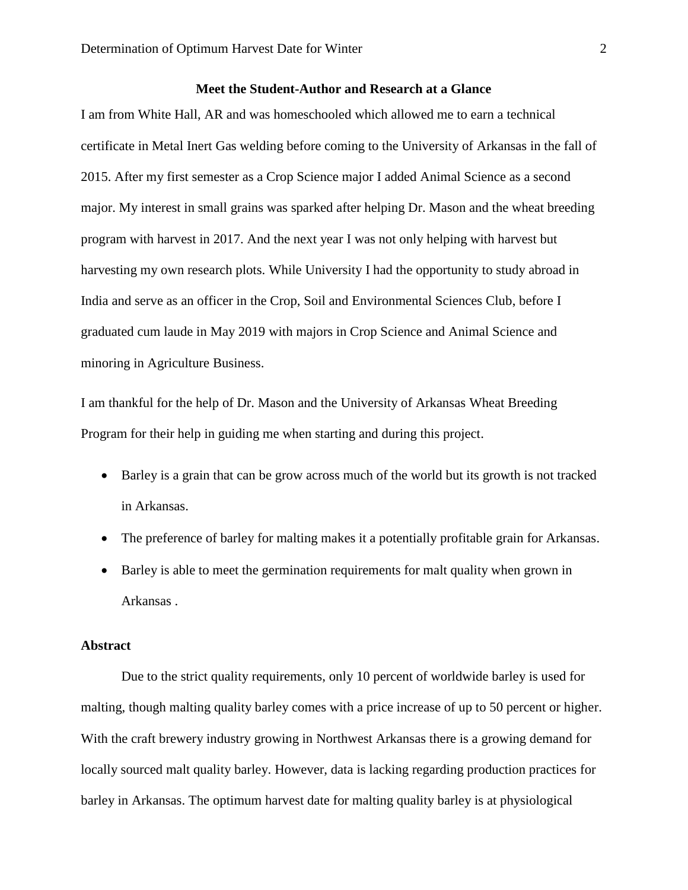#### **Meet the Student-Author and Research at a Glance**

I am from White Hall, AR and was homeschooled which allowed me to earn a technical certificate in Metal Inert Gas welding before coming to the University of Arkansas in the fall of 2015. After my first semester as a Crop Science major I added Animal Science as a second major. My interest in small grains was sparked after helping Dr. Mason and the wheat breeding program with harvest in 2017. And the next year I was not only helping with harvest but harvesting my own research plots. While University I had the opportunity to study abroad in India and serve as an officer in the Crop, Soil and Environmental Sciences Club, before I graduated cum laude in May 2019 with majors in Crop Science and Animal Science and minoring in Agriculture Business.

I am thankful for the help of Dr. Mason and the University of Arkansas Wheat Breeding Program for their help in guiding me when starting and during this project.

- Barley is a grain that can be grow across much of the world but its growth is not tracked in Arkansas.
- The preference of barley for malting makes it a potentially profitable grain for Arkansas.
- Barley is able to meet the germination requirements for malt quality when grown in Arkansas .

#### **Abstract**

Due to the strict quality requirements, only 10 percent of worldwide barley is used for malting, though malting quality barley comes with a price increase of up to 50 percent or higher. With the craft brewery industry growing in Northwest Arkansas there is a growing demand for locally sourced malt quality barley. However, data is lacking regarding production practices for barley in Arkansas. The optimum harvest date for malting quality barley is at physiological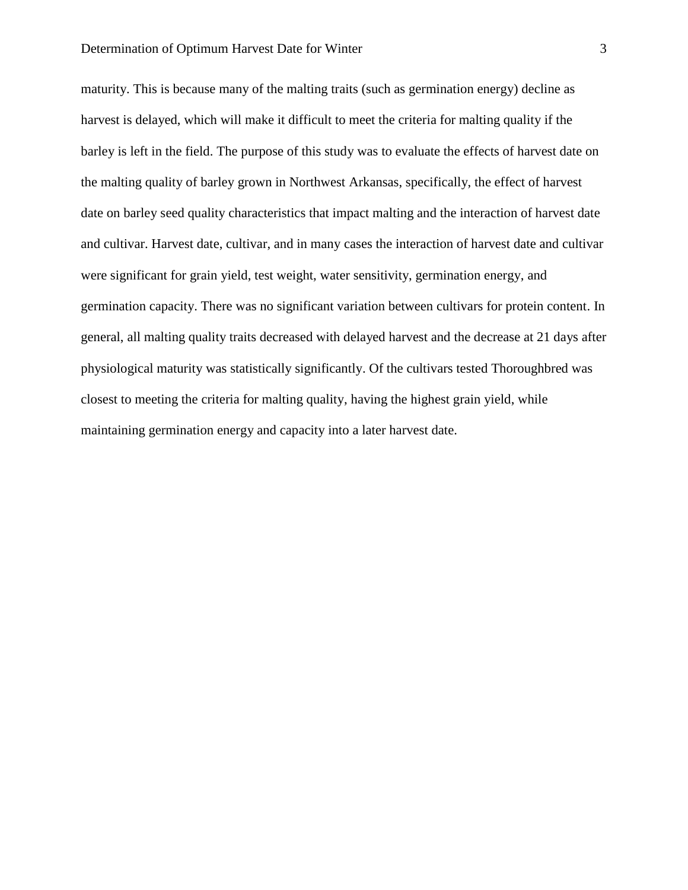#### Determination of Optimum Harvest Date for Winter 3

maturity. This is because many of the malting traits (such as germination energy) decline as harvest is delayed, which will make it difficult to meet the criteria for malting quality if the barley is left in the field. The purpose of this study was to evaluate the effects of harvest date on the malting quality of barley grown in Northwest Arkansas, specifically, the effect of harvest date on barley seed quality characteristics that impact malting and the interaction of harvest date and cultivar. Harvest date, cultivar, and in many cases the interaction of harvest date and cultivar were significant for grain yield, test weight, water sensitivity, germination energy, and germination capacity. There was no significant variation between cultivars for protein content. In general, all malting quality traits decreased with delayed harvest and the decrease at 21 days after physiological maturity was statistically significantly. Of the cultivars tested Thoroughbred was closest to meeting the criteria for malting quality, having the highest grain yield, while maintaining germination energy and capacity into a later harvest date.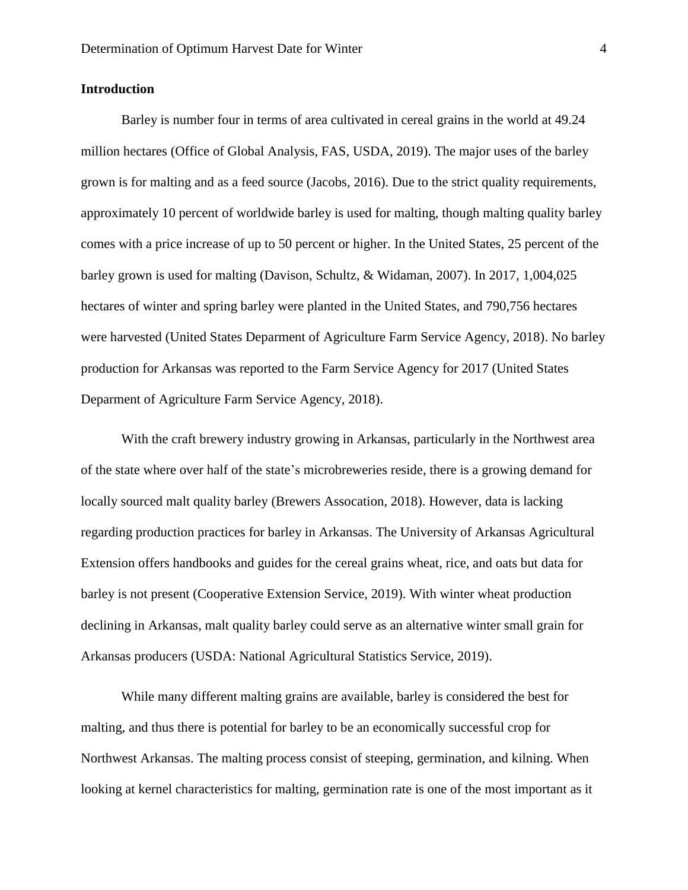#### **Introduction**

Barley is number four in terms of area cultivated in cereal grains in the world at 49.24 million hectares (Office of Global Analysis, FAS, USDA, 2019). The major uses of the barley grown is for malting and as a feed source (Jacobs, 2016). Due to the strict quality requirements, approximately 10 percent of worldwide barley is used for malting, though malting quality barley comes with a price increase of up to 50 percent or higher. In the United States, 25 percent of the barley grown is used for malting (Davison, Schultz, & Widaman, 2007). In 2017, 1,004,025 hectares of winter and spring barley were planted in the United States, and 790,756 hectares were harvested (United States Deparment of Agriculture Farm Service Agency, 2018). No barley production for Arkansas was reported to the Farm Service Agency for 2017 (United States Deparment of Agriculture Farm Service Agency, 2018).

With the craft brewery industry growing in Arkansas, particularly in the Northwest area of the state where over half of the state's microbreweries reside, there is a growing demand for locally sourced malt quality barley (Brewers Assocation, 2018). However, data is lacking regarding production practices for barley in Arkansas. The University of Arkansas Agricultural Extension offers handbooks and guides for the cereal grains wheat, rice, and oats but data for barley is not present (Cooperative Extension Service, 2019). With winter wheat production declining in Arkansas, malt quality barley could serve as an alternative winter small grain for Arkansas producers (USDA: National Agricultural Statistics Service, 2019).

While many different malting grains are available, barley is considered the best for malting, and thus there is potential for barley to be an economically successful crop for Northwest Arkansas. The malting process consist of steeping, germination, and kilning. When looking at kernel characteristics for malting, germination rate is one of the most important as it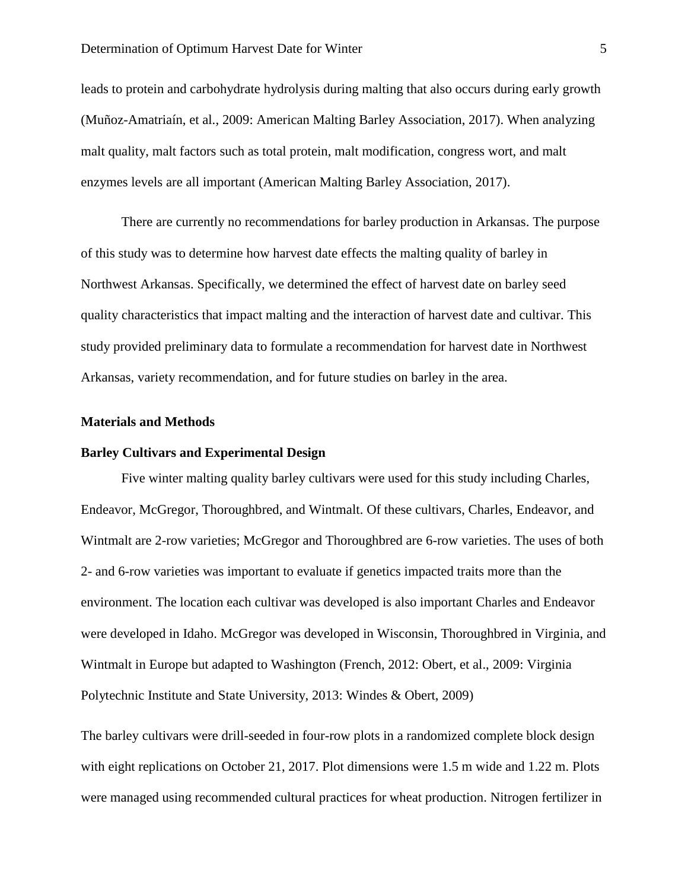leads to protein and carbohydrate hydrolysis during malting that also occurs during early growth (Muñoz-Amatriaín, et al., 2009: American Malting Barley Association, 2017). When analyzing malt quality, malt factors such as total protein, malt modification, congress wort, and malt enzymes levels are all important (American Malting Barley Association, 2017).

There are currently no recommendations for barley production in Arkansas. The purpose of this study was to determine how harvest date effects the malting quality of barley in Northwest Arkansas. Specifically, we determined the effect of harvest date on barley seed quality characteristics that impact malting and the interaction of harvest date and cultivar. This study provided preliminary data to formulate a recommendation for harvest date in Northwest Arkansas, variety recommendation, and for future studies on barley in the area.

#### **Materials and Methods**

#### **Barley Cultivars and Experimental Design**

Five winter malting quality barley cultivars were used for this study including Charles, Endeavor, McGregor, Thoroughbred, and Wintmalt. Of these cultivars, Charles, Endeavor, and Wintmalt are 2-row varieties; McGregor and Thoroughbred are 6-row varieties. The uses of both 2- and 6-row varieties was important to evaluate if genetics impacted traits more than the environment. The location each cultivar was developed is also important Charles and Endeavor were developed in Idaho. McGregor was developed in Wisconsin, Thoroughbred in Virginia, and Wintmalt in Europe but adapted to Washington (French, 2012: Obert, et al., 2009: Virginia Polytechnic Institute and State University, 2013: Windes & Obert, 2009)

The barley cultivars were drill-seeded in four-row plots in a randomized complete block design with eight replications on October 21, 2017. Plot dimensions were 1.5 m wide and 1.22 m. Plots were managed using recommended cultural practices for wheat production. Nitrogen fertilizer in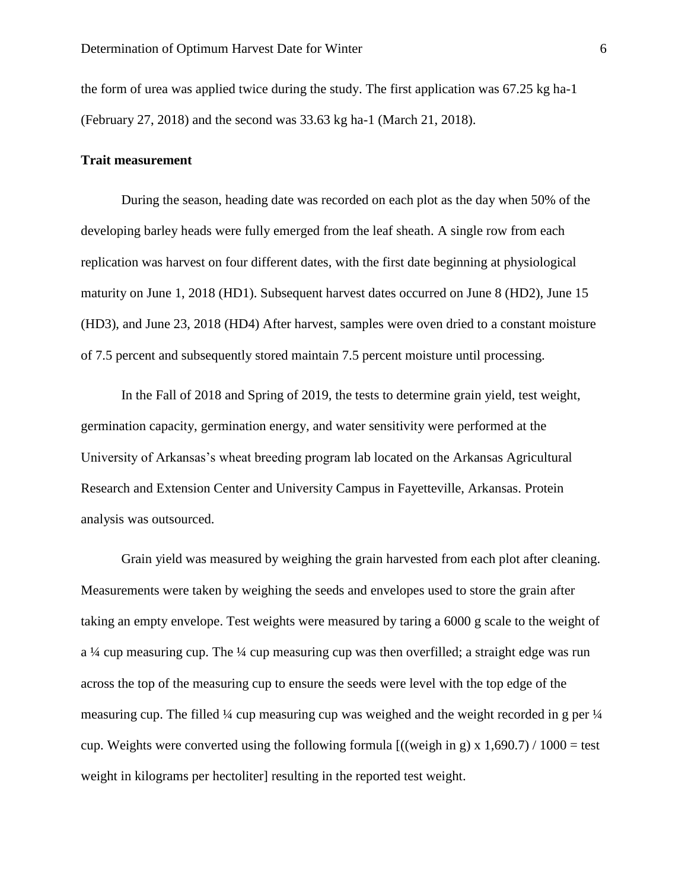the form of urea was applied twice during the study. The first application was 67.25 kg ha-1 (February 27, 2018) and the second was 33.63 kg ha-1 (March 21, 2018).

#### **Trait measurement**

During the season, heading date was recorded on each plot as the day when 50% of the developing barley heads were fully emerged from the leaf sheath. A single row from each replication was harvest on four different dates, with the first date beginning at physiological maturity on June 1, 2018 (HD1). Subsequent harvest dates occurred on June 8 (HD2), June 15 (HD3), and June 23, 2018 (HD4) After harvest, samples were oven dried to a constant moisture of 7.5 percent and subsequently stored maintain 7.5 percent moisture until processing.

In the Fall of 2018 and Spring of 2019, the tests to determine grain yield, test weight, germination capacity, germination energy, and water sensitivity were performed at the University of Arkansas's wheat breeding program lab located on the Arkansas Agricultural Research and Extension Center and University Campus in Fayetteville, Arkansas. Protein analysis was outsourced.

Grain yield was measured by weighing the grain harvested from each plot after cleaning. Measurements were taken by weighing the seeds and envelopes used to store the grain after taking an empty envelope. Test weights were measured by taring a 6000 g scale to the weight of a ¼ cup measuring cup. The ¼ cup measuring cup was then overfilled; a straight edge was run across the top of the measuring cup to ensure the seeds were level with the top edge of the measuring cup. The filled  $\frac{1}{4}$  cup measuring cup was weighed and the weight recorded in g per  $\frac{1}{4}$ cup. Weights were converted using the following formula  $(($ weigh in g $) \times 1,690.7) / 1000 =$  test weight in kilograms per hectoliter] resulting in the reported test weight.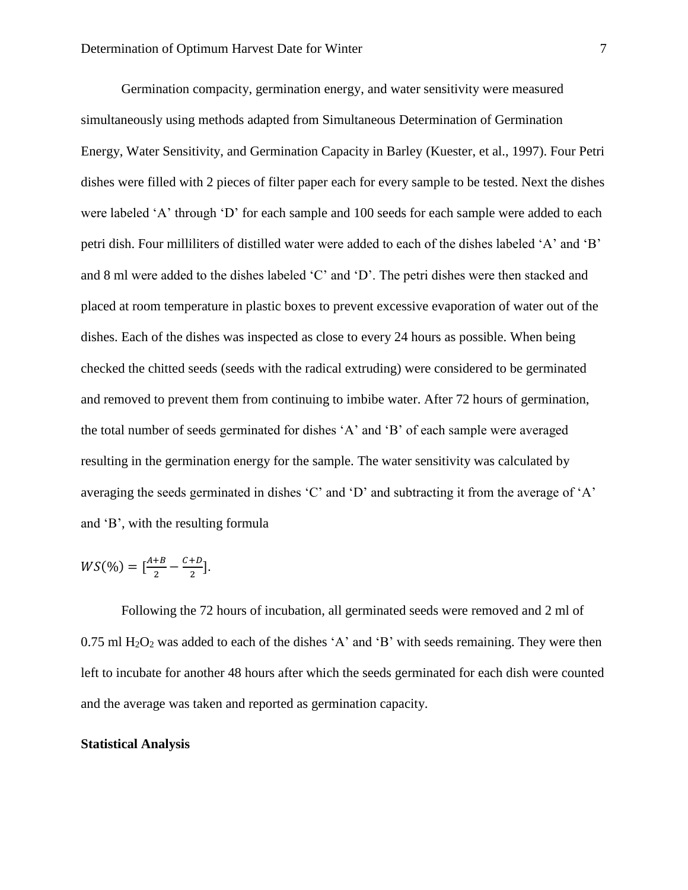Germination compacity, germination energy, and water sensitivity were measured simultaneously using methods adapted from Simultaneous Determination of Germination Energy, Water Sensitivity, and Germination Capacity in Barley (Kuester, et al., 1997). Four Petri dishes were filled with 2 pieces of filter paper each for every sample to be tested. Next the dishes were labeled 'A' through 'D' for each sample and 100 seeds for each sample were added to each petri dish. Four milliliters of distilled water were added to each of the dishes labeled 'A' and 'B' and 8 ml were added to the dishes labeled 'C' and 'D'. The petri dishes were then stacked and placed at room temperature in plastic boxes to prevent excessive evaporation of water out of the dishes. Each of the dishes was inspected as close to every 24 hours as possible. When being checked the chitted seeds (seeds with the radical extruding) were considered to be germinated and removed to prevent them from continuing to imbibe water. After 72 hours of germination, the total number of seeds germinated for dishes 'A' and 'B' of each sample were averaged resulting in the germination energy for the sample. The water sensitivity was calculated by averaging the seeds germinated in dishes 'C' and 'D' and subtracting it from the average of 'A' and 'B', with the resulting formula

$$
WS(\%) = [\frac{A+B}{2} - \frac{C+D}{2}].
$$

Following the 72 hours of incubation, all germinated seeds were removed and 2 ml of  $0.75$  ml H<sub>2</sub>O<sub>2</sub> was added to each of the dishes 'A' and 'B' with seeds remaining. They were then left to incubate for another 48 hours after which the seeds germinated for each dish were counted and the average was taken and reported as germination capacity.

#### **Statistical Analysis**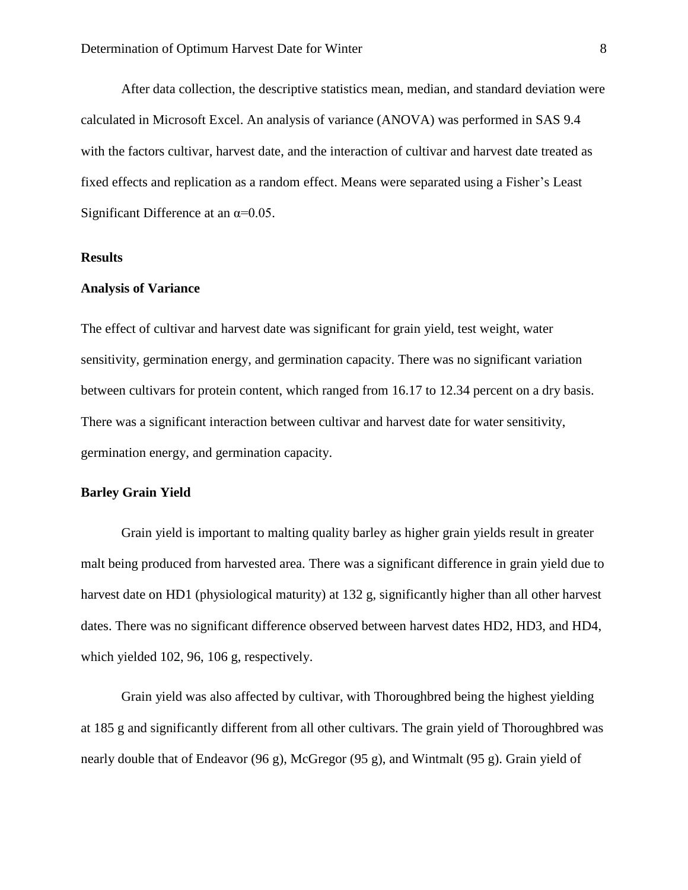After data collection, the descriptive statistics mean, median, and standard deviation were calculated in Microsoft Excel. An analysis of variance (ANOVA) was performed in SAS 9.4 with the factors cultivar, harvest date, and the interaction of cultivar and harvest date treated as fixed effects and replication as a random effect. Means were separated using a Fisher's Least Significant Difference at an  $\alpha$ =0.05.

#### **Results**

#### **Analysis of Variance**

The effect of cultivar and harvest date was significant for grain yield, test weight, water sensitivity, germination energy, and germination capacity. There was no significant variation between cultivars for protein content, which ranged from 16.17 to 12.34 percent on a dry basis. There was a significant interaction between cultivar and harvest date for water sensitivity, germination energy, and germination capacity.

#### **Barley Grain Yield**

Grain yield is important to malting quality barley as higher grain yields result in greater malt being produced from harvested area. There was a significant difference in grain yield due to harvest date on HD1 (physiological maturity) at 132 g, significantly higher than all other harvest dates. There was no significant difference observed between harvest dates HD2, HD3, and HD4, which yielded 102, 96, 106 g, respectively.

Grain yield was also affected by cultivar, with Thoroughbred being the highest yielding at 185 g and significantly different from all other cultivars. The grain yield of Thoroughbred was nearly double that of Endeavor (96 g), McGregor (95 g), and Wintmalt (95 g). Grain yield of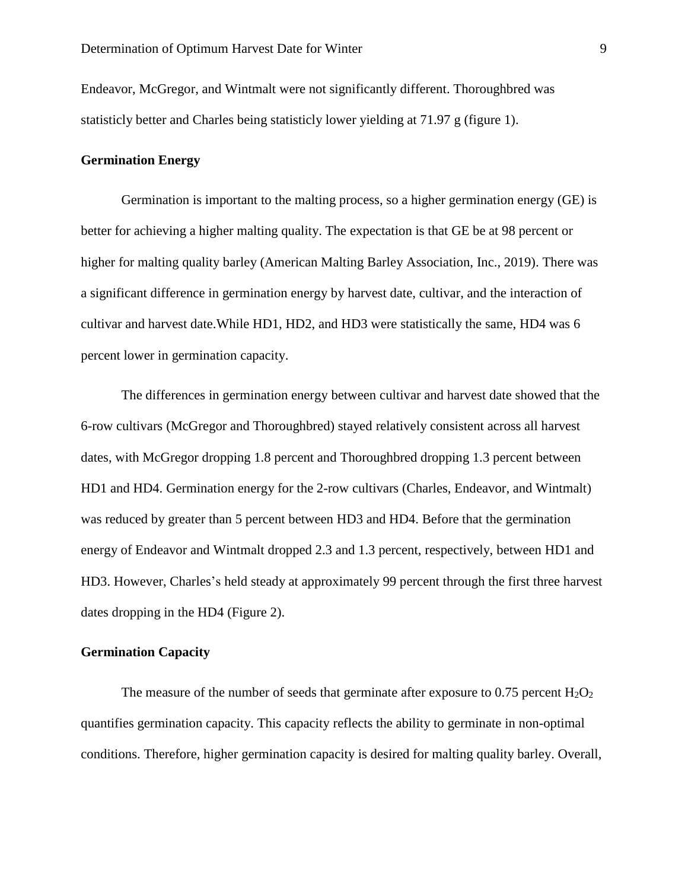Endeavor, McGregor, and Wintmalt were not significantly different. Thoroughbred was statisticly better and Charles being statisticly lower yielding at 71.97 g (figure 1).

#### **Germination Energy**

Germination is important to the malting process, so a higher germination energy (GE) is better for achieving a higher malting quality. The expectation is that GE be at 98 percent or higher for malting quality barley (American Malting Barley Association, Inc., 2019). There was a significant difference in germination energy by harvest date, cultivar, and the interaction of cultivar and harvest date.While HD1, HD2, and HD3 were statistically the same, HD4 was 6 percent lower in germination capacity.

The differences in germination energy between cultivar and harvest date showed that the 6-row cultivars (McGregor and Thoroughbred) stayed relatively consistent across all harvest dates, with McGregor dropping 1.8 percent and Thoroughbred dropping 1.3 percent between HD1 and HD4. Germination energy for the 2-row cultivars (Charles, Endeavor, and Wintmalt) was reduced by greater than 5 percent between HD3 and HD4. Before that the germination energy of Endeavor and Wintmalt dropped 2.3 and 1.3 percent, respectively, between HD1 and HD3. However, Charles's held steady at approximately 99 percent through the first three harvest dates dropping in the HD4 (Figure 2).

#### **Germination Capacity**

The measure of the number of seeds that germinate after exposure to 0.75 percent  $H_2O_2$ quantifies germination capacity. This capacity reflects the ability to germinate in non-optimal conditions. Therefore, higher germination capacity is desired for malting quality barley. Overall,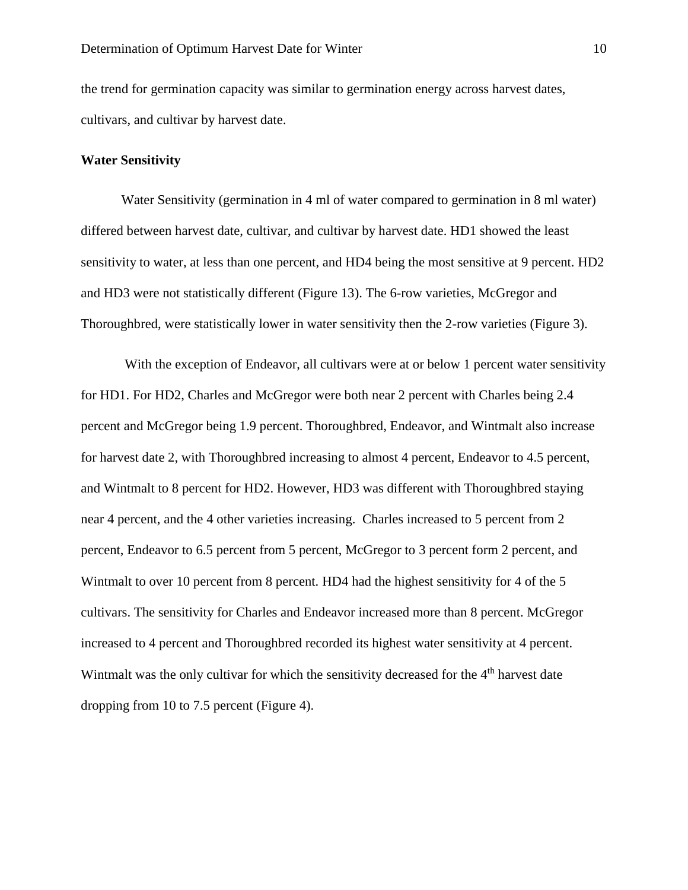the trend for germination capacity was similar to germination energy across harvest dates, cultivars, and cultivar by harvest date.

#### **Water Sensitivity**

Water Sensitivity (germination in 4 ml of water compared to germination in 8 ml water) differed between harvest date, cultivar, and cultivar by harvest date. HD1 showed the least sensitivity to water, at less than one percent, and HD4 being the most sensitive at 9 percent. HD2 and HD3 were not statistically different (Figure 13). The 6-row varieties, McGregor and Thoroughbred, were statistically lower in water sensitivity then the 2-row varieties (Figure 3).

With the exception of Endeavor, all cultivars were at or below 1 percent water sensitivity for HD1. For HD2, Charles and McGregor were both near 2 percent with Charles being 2.4 percent and McGregor being 1.9 percent. Thoroughbred, Endeavor, and Wintmalt also increase for harvest date 2, with Thoroughbred increasing to almost 4 percent, Endeavor to 4.5 percent, and Wintmalt to 8 percent for HD2. However, HD3 was different with Thoroughbred staying near 4 percent, and the 4 other varieties increasing. Charles increased to 5 percent from 2 percent, Endeavor to 6.5 percent from 5 percent, McGregor to 3 percent form 2 percent, and Wintmalt to over 10 percent from 8 percent. HD4 had the highest sensitivity for 4 of the 5 cultivars. The sensitivity for Charles and Endeavor increased more than 8 percent. McGregor increased to 4 percent and Thoroughbred recorded its highest water sensitivity at 4 percent. Wintmalt was the only cultivar for which the sensitivity decreased for the 4<sup>th</sup> harvest date dropping from 10 to 7.5 percent (Figure 4).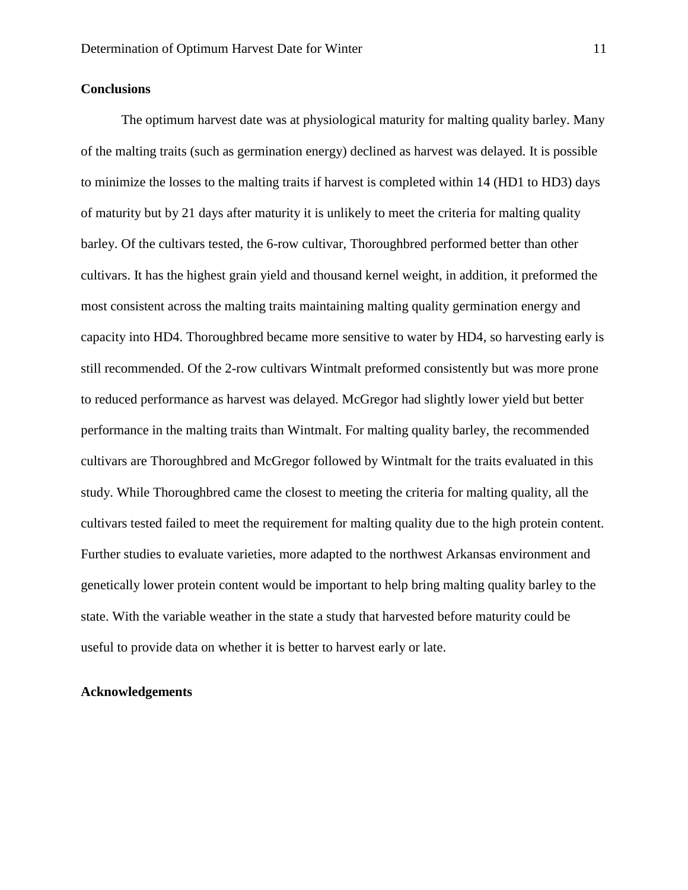#### **Conclusions**

The optimum harvest date was at physiological maturity for malting quality barley. Many of the malting traits (such as germination energy) declined as harvest was delayed. It is possible to minimize the losses to the malting traits if harvest is completed within 14 (HD1 to HD3) days of maturity but by 21 days after maturity it is unlikely to meet the criteria for malting quality barley. Of the cultivars tested, the 6-row cultivar, Thoroughbred performed better than other cultivars. It has the highest grain yield and thousand kernel weight, in addition, it preformed the most consistent across the malting traits maintaining malting quality germination energy and capacity into HD4. Thoroughbred became more sensitive to water by HD4, so harvesting early is still recommended. Of the 2-row cultivars Wintmalt preformed consistently but was more prone to reduced performance as harvest was delayed. McGregor had slightly lower yield but better performance in the malting traits than Wintmalt. For malting quality barley, the recommended cultivars are Thoroughbred and McGregor followed by Wintmalt for the traits evaluated in this study. While Thoroughbred came the closest to meeting the criteria for malting quality, all the cultivars tested failed to meet the requirement for malting quality due to the high protein content. Further studies to evaluate varieties, more adapted to the northwest Arkansas environment and genetically lower protein content would be important to help bring malting quality barley to the state. With the variable weather in the state a study that harvested before maturity could be useful to provide data on whether it is better to harvest early or late.

#### **Acknowledgements**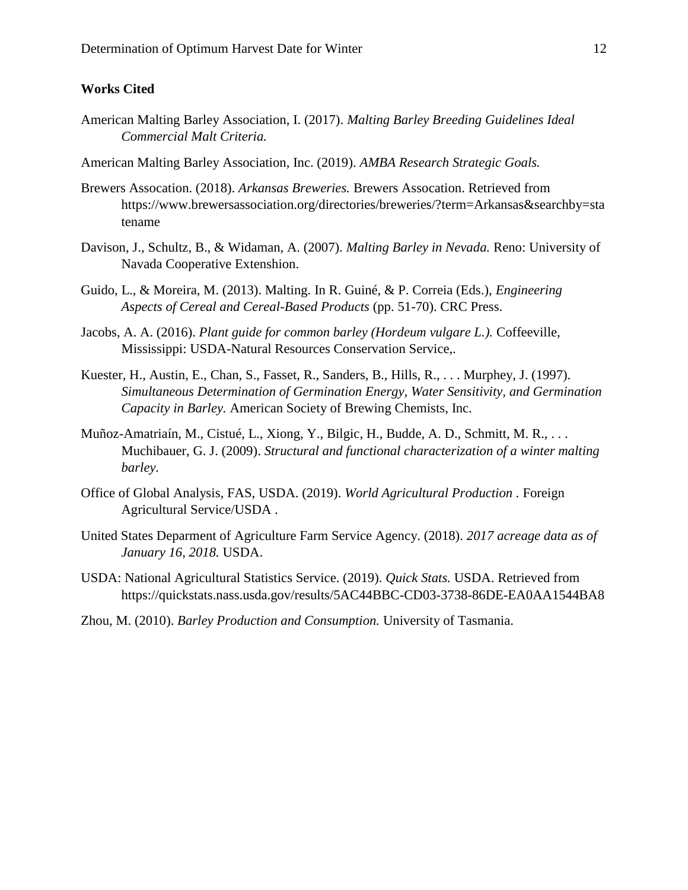#### **Works Cited**

- American Malting Barley Association, I. (2017). *Malting Barley Breeding Guidelines Ideal Commercial Malt Criteria.*
- American Malting Barley Association, Inc. (2019). *AMBA Research Strategic Goals.*
- Brewers Assocation. (2018). *Arkansas Breweries.* Brewers Assocation. Retrieved from https://www.brewersassociation.org/directories/breweries/?term=Arkansas&searchby=sta tename
- Davison, J., Schultz, B., & Widaman, A. (2007). *Malting Barley in Nevada.* Reno: University of Navada Cooperative Extenshion.
- Guido, L., & Moreira, M. (2013). Malting. In R. Guiné, & P. Correia (Eds.), *Engineering Aspects of Cereal and Cereal-Based Products* (pp. 51-70). CRC Press.
- Jacobs, A. A. (2016). *Plant guide for common barley (Hordeum vulgare L.).* Coffeeville, Mississippi: USDA-Natural Resources Conservation Service,.
- Kuester, H., Austin, E., Chan, S., Fasset, R., Sanders, B., Hills, R., . . . Murphey, J. (1997). *Simultaneous Determination of Germination Energy, Water Sensitivity, and Germination Capacity in Barley.* American Society of Brewing Chemists, Inc.
- Muñoz-Amatriaín, M., Cistué, L., Xiong, Y., Bilgic, H., Budde, A. D., Schmitt, M. R., . . . Muchibauer, G. J. (2009). *Structural and functional characterization of a winter malting barley.*
- Office of Global Analysis, FAS, USDA. (2019). *World Agricultural Production .* Foreign Agricultural Service/USDA .
- United States Deparment of Agriculture Farm Service Agency. (2018). *2017 acreage data as of January 16, 2018.* USDA.
- USDA: National Agricultural Statistics Service. (2019). *Quick Stats.* USDA. Retrieved from https://quickstats.nass.usda.gov/results/5AC44BBC-CD03-3738-86DE-EA0AA1544BA8
- Zhou, M. (2010). *Barley Production and Consumption.* University of Tasmania.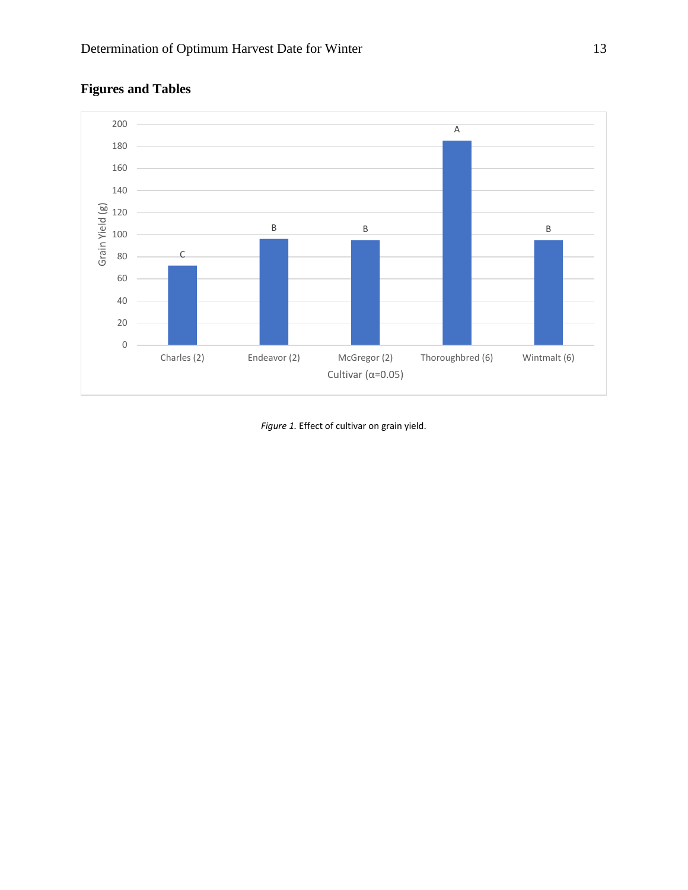

## **Figures and Tables**

*Figure 1.* Effect of cultivar on grain yield.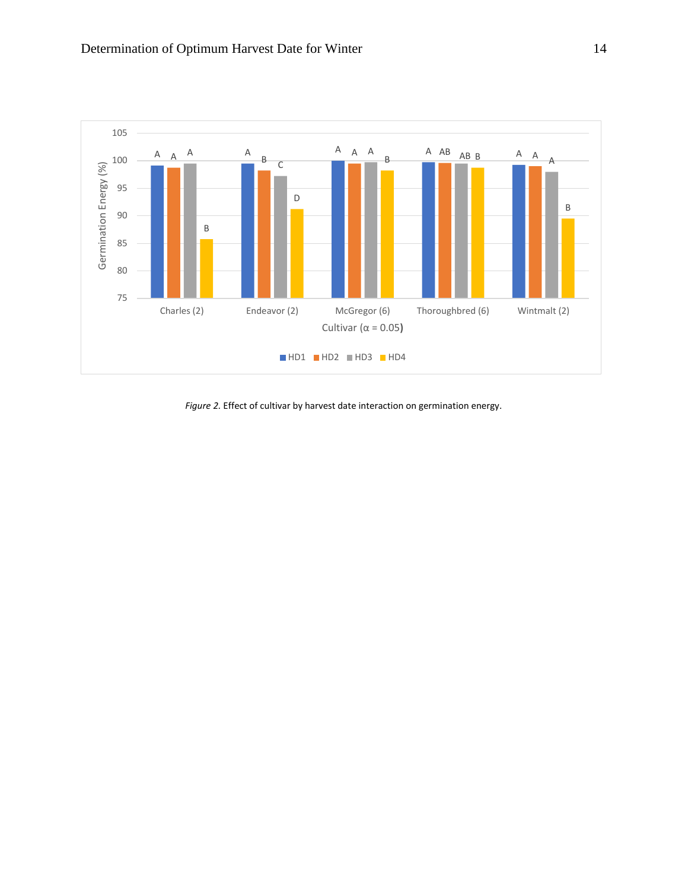

*Figure 2.* Effect of cultivar by harvest date interaction on germination energy.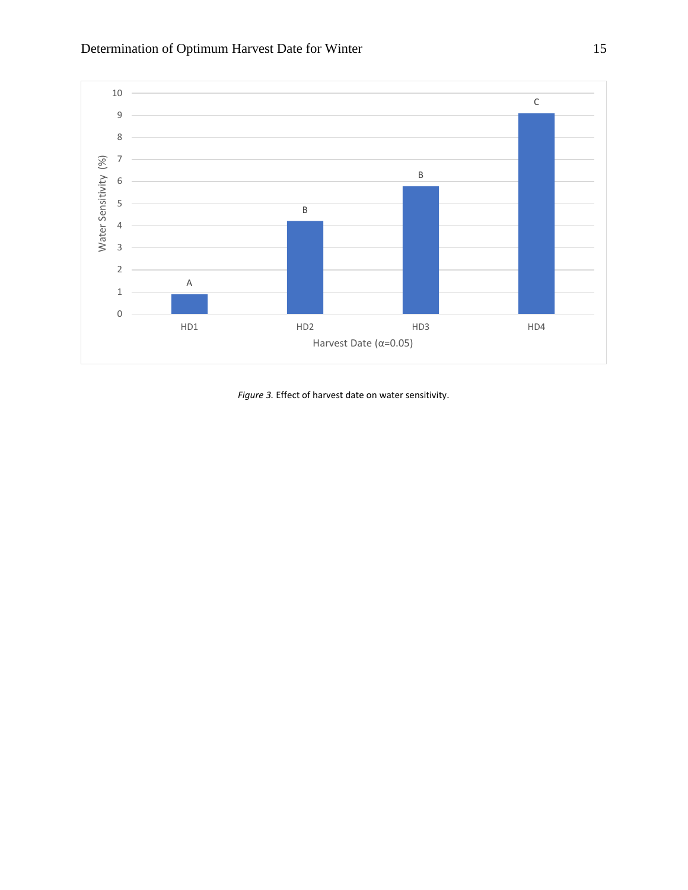

*Figure 3.* Effect of harvest date on water sensitivity.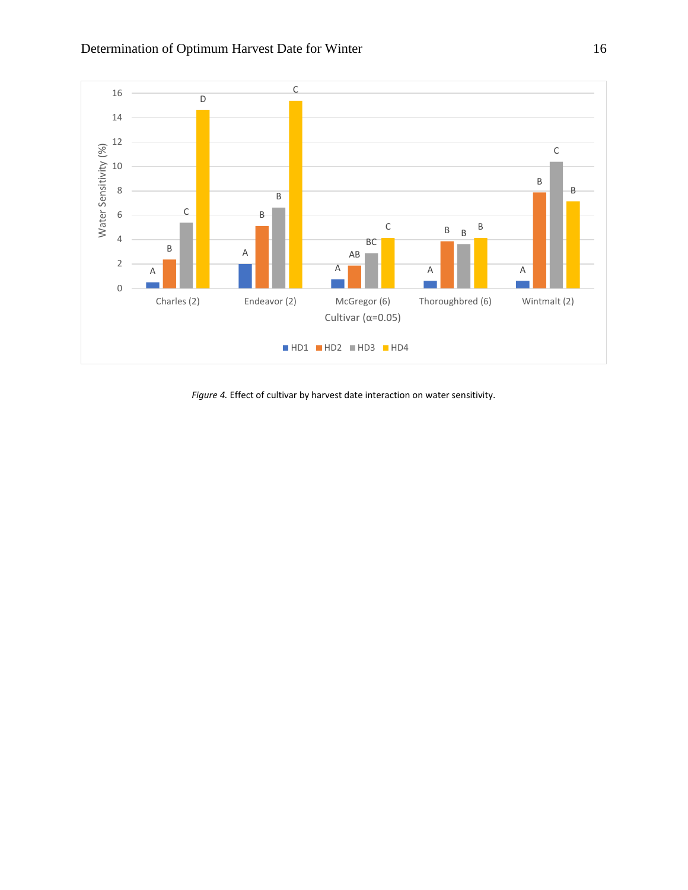

*Figure 4.* Effect of cultivar by harvest date interaction on water sensitivity.